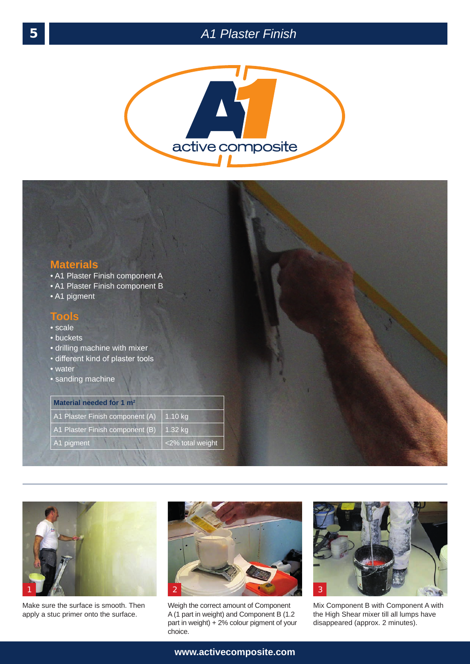





Make sure the surface is smooth. Then apply a stuc primer onto the surface.



Weigh the correct amount of Component A (1 part in weight) and Component B (1.2 part in weight) + 2% colour pigment of your choice.



Mix Component B with Component A with the High Shear mixer till all lumps have disappeared (approx. 2 minutes).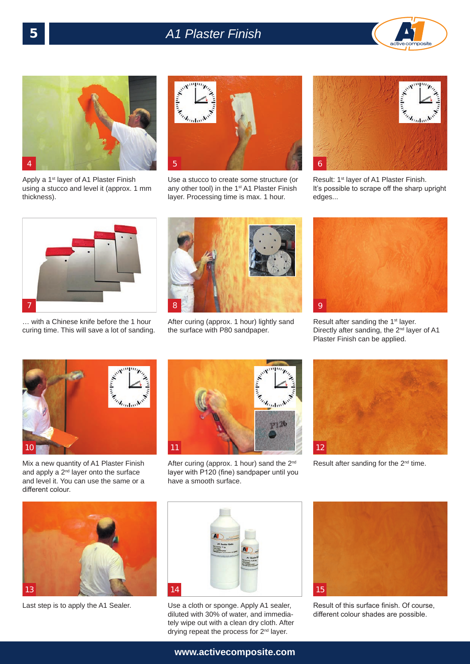## 5 *A1 Plaster Finish*





Apply a 1<sup>st</sup> layer of A1 Plaster Finish using a stucco and level it (approx. 1 mm thickness).



Use a stucco to create some structure (or any other tool) in the 1<sup>st</sup> A1 Plaster Finish layer. Processing time is max. 1 hour.



Result: 1st layer of A1 Plaster Finish. It's possible to scrape off the sharp upright edges...



… with a Chinese knife before the 1 hour curing time. This will save a lot of sanding.



After curing (approx. 1 hour) lightly sand the surface with P80 sandpaper.



Result after sanding the 1<sup>st</sup> layer. Directly after sanding, the 2<sup>nd</sup> layer of A1 Plaster Finish can be applied.



Mix a new quantity of A1 Plaster Finish and apply a  $2^{nd}$  layer onto the surface and level it. You can use the same or a different colour.



After curing (approx. 1 hour) sand the 2<sup>nd</sup> layer with P120 (fine) sandpaper until you have a smooth surface.



Result after sanding for the 2<sup>nd</sup> time.





Last step is to apply the A1 Sealer. Use a cloth or sponge. Apply A1 sealer, diluted with 30% of water, and immediately wipe out with a clean dry cloth. After drying repeat the process for 2<sup>nd</sup> layer.



Result of this surface finish. Of course, different colour shades are possible.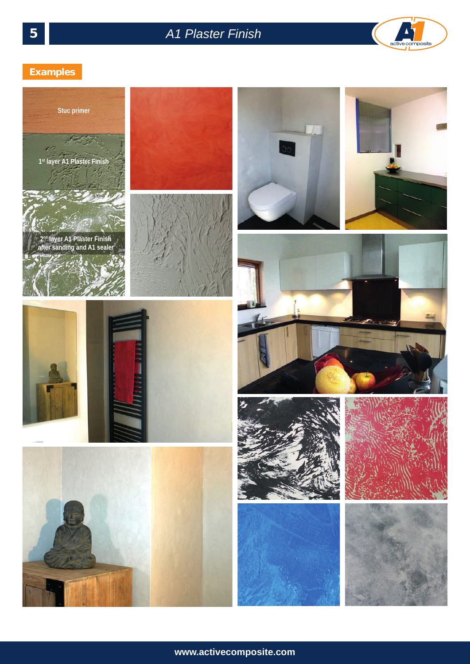

## 5 *A1 Plaster Finish*



## **Examples**